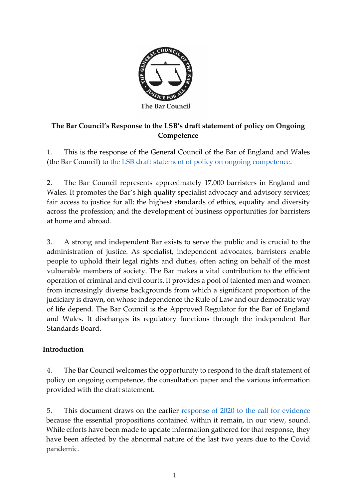

## **The Bar Council's Response to the LSB's draft statement of policy on Ongoing Competence**

1. This is the response of the General Council of the Bar of England and Wales (the Bar Council) to [the LSB draft statement of policy on ongoing competence.](https://legalservicesboard.org.uk/wp-content/uploads/2021/12/Ongoing-competence-consultation-paper-December-2021.pdf)

2. The Bar Council represents approximately 17,000 barristers in England and Wales. It promotes the Bar's high quality specialist advocacy and advisory services; fair access to justice for all; the highest standards of ethics, equality and diversity across the profession; and the development of business opportunities for barristers at home and abroad.

3. A strong and independent Bar exists to serve the public and is crucial to the administration of justice. As specialist, independent advocates, barristers enable people to uphold their legal rights and duties, often acting on behalf of the most vulnerable members of society. The Bar makes a vital contribution to the efficient operation of criminal and civil courts. It provides a pool of talented men and women from increasingly diverse backgrounds from which a significant proportion of the judiciary is drawn, on whose independence the Rule of Law and our democratic way of life depend. The Bar Council is the Approved Regulator for the Bar of England and Wales. It discharges its regulatory functions through the independent Bar Standards Board.

## **Introduction**

4. The Bar Council welcomes the opportunity to respond to the draft statement of policy on ongoing competence, the consultation paper and the various information provided with the draft statement.

5. This document draws on the earlier [response of 2020 to the call for evidence](https://www.barcouncil.org.uk/uploads/assets/cc4d10c9-34d4-4970-886780b85d900364/LSB-Ongoing-Competence-consultation-response.pdf) because the essential propositions contained within it remain, in our view, sound. While efforts have been made to update information gathered for that response, they have been affected by the abnormal nature of the last two years due to the Covid pandemic.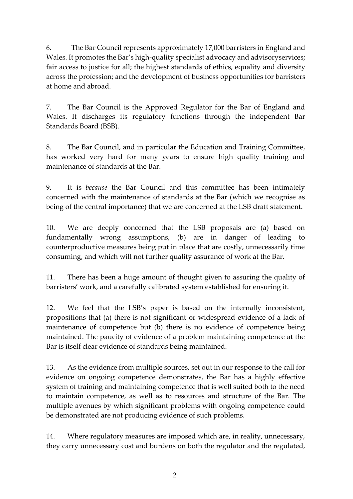6. The Bar Council represents approximately 17,000 barristers in England and Wales. It promotes the Bar's high-quality specialist advocacy and advisoryservices; fair access to justice for all; the highest standards of ethics, equality and diversity across the profession; and the development of business opportunities for barristers at home and abroad.

7. The Bar Council is the Approved Regulator for the Bar of England and Wales. It discharges its regulatory functions through the independent Bar Standards Board (BSB).

8. The Bar Council, and in particular the Education and Training Committee, has worked very hard for many years to ensure high quality training and maintenance of standards at the Bar.

9. It is *because* the Bar Council and this committee has been intimately concerned with the maintenance of standards at the Bar (which we recognise as being of the central importance) that we are concerned at the LSB draft statement.

10. We are deeply concerned that the LSB proposals are (a) based on fundamentally wrong assumptions, (b) are in danger of leading to counterproductive measures being put in place that are costly, unnecessarily time consuming, and which will not further quality assurance of work at the Bar.

11. There has been a huge amount of thought given to assuring the quality of barristers' work, and a carefully calibrated system established for ensuring it.

12. We feel that the LSB's paper is based on the internally inconsistent, propositions that (a) there is not significant or widespread evidence of a lack of maintenance of competence but (b) there is no evidence of competence being maintained. The paucity of evidence of a problem maintaining competence at the Bar is itself clear evidence of standards being maintained.

13. As the evidence from multiple sources, set out in our response to the call for evidence on ongoing competence demonstrates, the Bar has a highly effective system of training and maintaining competence that is well suited both to the need to maintain competence, as well as to resources and structure of the Bar. The multiple avenues by which significant problems with ongoing competence could be demonstrated are not producing evidence of such problems.

14. Where regulatory measures are imposed which are, in reality, unnecessary, they carry unnecessary cost and burdens on both the regulator and the regulated,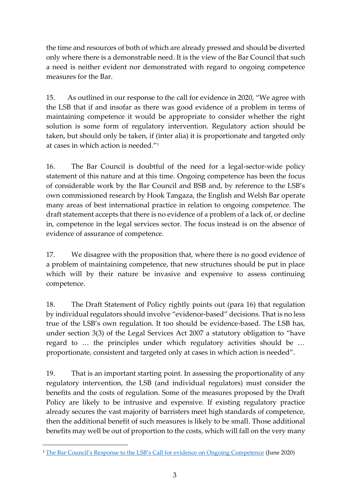the time and resources of both of which are already pressed and should be diverted only where there is a demonstrable need. It is the view of the Bar Council that such a need is neither evident nor demonstrated with regard to ongoing competence measures for the Bar.

15. As outlined in our response to the call for evidence in 2020, "We agree with the LSB that if and insofar as there was good evidence of a problem in terms of maintaining competence it would be appropriate to consider whether the right solution is some form of regulatory intervention. Regulatory action should be taken, but should only be taken, if (inter alia) it is proportionate and targeted only at cases in which action is needed."<sup>1</sup>

16. The Bar Council is doubtful of the need for a legal-sector-wide policy statement of this nature and at this time. Ongoing competence has been the focus of considerable work by the Bar Council and BSB and, by reference to the LSB's own commissioned research by Hook Tangaza, the English and Welsh Bar operate many areas of best international practice in relation to ongoing competence. The draft statement accepts that there is no evidence of a problem of a lack of, or decline in, competence in the legal services sector. The focus instead is on the absence of evidence of assurance of competence.

17. We disagree with the proposition that, where there is no good evidence of a problem of maintaining competence, that new structures should be put in place which will by their nature be invasive and expensive to assess continuing competence.

18. The Draft Statement of Policy rightly points out (para 16) that regulation by individual regulators should involve "evidence-based" decisions. That is no less true of the LSB's own regulation. It too should be evidence-based. The LSB has, under section 3(3) of the Legal Services Act 2007 a statutory obligation to "have regard to … the principles under which regulatory activities should be … proportionate, consistent and targeted only at cases in which action is needed".

19. That is an important starting point. In assessing the proportionality of any regulatory intervention, the LSB (and individual regulators) must consider the benefits and the costs of regulation. Some of the measures proposed by the Draft Policy are likely to be intrusive and expensive. If existing regulatory practice already secures the vast majority of barristers meet high standards of competence, then the additional benefit of such measures is likely to be small. Those additional benefits may well be out of proportion to the costs, which will fall on the very many

<sup>&</sup>lt;sup>1</sup> [The Bar Council's Response to the LSB's Call for evidence on Ongoing Competence](https://www.barcouncil.org.uk/uploads/assets/cc4d10c9-34d4-4970-886780b85d900364/LSB-Ongoing-Competence-consultation-response.pdf) (June 2020)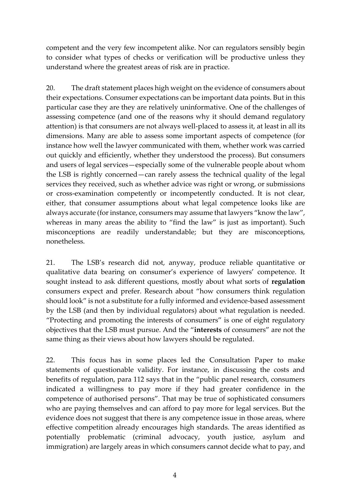competent and the very few incompetent alike. Nor can regulators sensibly begin to consider what types of checks or verification will be productive unless they understand where the greatest areas of risk are in practice.

20. The draft statement places high weight on the evidence of consumers about their expectations. Consumer expectations can be important data points. But in this particular case they are they are relatively uninformative. One of the challenges of assessing competence (and one of the reasons why it should demand regulatory attention) is that consumers are not always well-placed to assess it, at least in all its dimensions. Many are able to assess some important aspects of competence (for instance how well the lawyer communicated with them, whether work was carried out quickly and efficiently, whether they understood the process). But consumers and users of legal services—especially some of the vulnerable people about whom the LSB is rightly concerned—can rarely assess the technical quality of the legal services they received, such as whether advice was right or wrong, or submissions or cross-examination competently or incompetently conducted. It is not clear, either, that consumer assumptions about what legal competence looks like are always accurate (for instance, consumers may assume that lawyers "know the law", whereas in many areas the ability to "find the law" is just as important). Such misconceptions are readily understandable; but they are misconceptions, nonetheless.

21. The LSB's research did not, anyway, produce reliable quantitative or qualitative data bearing on consumer's experience of lawyers' competence. It sought instead to ask different questions, mostly about what sorts of **regulation** consumers expect and prefer. Research about "how consumers think regulation should look" is not a substitute for a fully informed and evidence-based assessment by the LSB (and then by individual regulators) about what regulation is needed. "Protecting and promoting the interests of consumers" is one of eight regulatory objectives that the LSB must pursue. And the "**interests** of consumers" are not the same thing as their views about how lawyers should be regulated.

22. This focus has in some places led the Consultation Paper to make statements of questionable validity. For instance, in discussing the costs and benefits of regulation, para 112 says that in the "public panel research, consumers indicated a willingness to pay more if they had greater confidence in the competence of authorised persons". That may be true of sophisticated consumers who are paying themselves and can afford to pay more for legal services. But the evidence does not suggest that there is any competence issue in those areas, where effective competition already encourages high standards. The areas identified as potentially problematic (criminal advocacy, youth justice, asylum and immigration) are largely areas in which consumers cannot decide what to pay, and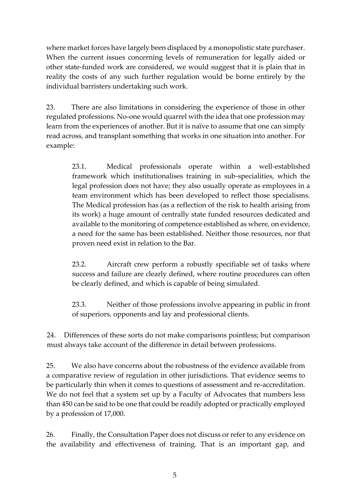where market forces have largely been displaced by a monopolistic state purchaser. When the current issues concerning levels of remuneration for legally aided or other state-funded work are considered, we would suggest that it is plain that in reality the costs of any such further regulation would be borne entirely by the individual barristers undertaking such work.

23. There are also limitations in considering the experience of those in other regulated professions. No-one would quarrel with the idea that one profession may learn from the experiences of another. But it is naïve to assume that one can simply read across, and transplant something that works in one situation into another. For example:

23.1. Medical professionals operate within a well-established framework which institutionalises training in sub-specialities, which the legal profession does not have; they also usually operate as employees in a team environment which has been developed to reflect those specialisms. The Medical profession has (as a reflection of the risk to health arising from its work) a huge amount of centrally state funded resources dedicated and available to the monitoring of competence established as where, on evidence, a need for the same has been established. Neither those resources, nor that proven need exist in relation to the Bar.

23.2. Aircraft crew perform a robustly specifiable set of tasks where success and failure are clearly defined, where routine procedures can often be clearly defined, and which is capable of being simulated.

23.3. Neither of those professions involve appearing in public in front of superiors, opponents and lay and professional clients.

24. Differences of these sorts do not make comparisons pointless; but comparison must always take account of the difference in detail between professions.

25. We also have concerns about the robustness of the evidence available from a comparative review of regulation in other jurisdictions. That evidence seems to be particularly thin when it comes to questions of assessment and re-accreditation. We do not feel that a system set up by a Faculty of Advocates that numbers less than 450 can be said to be one that could be readily adopted or practically employed by a profession of 17,000.

26. Finally, the Consultation Paper does not discuss or refer to any evidence on the availability and effectiveness of training. That is an important gap, and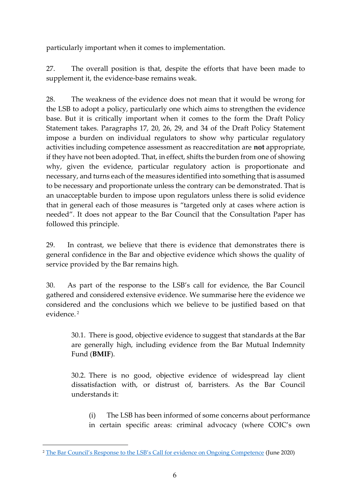particularly important when it comes to implementation.

27. The overall position is that, despite the efforts that have been made to supplement it, the evidence-base remains weak.

28. The weakness of the evidence does not mean that it would be wrong for the LSB to adopt a policy, particularly one which aims to strengthen the evidence base. But it is critically important when it comes to the form the Draft Policy Statement takes. Paragraphs 17, 20, 26, 29, and 34 of the Draft Policy Statement impose a burden on individual regulators to show why particular regulatory activities including competence assessment as reaccreditation are **not** appropriate, if they have not been adopted. That, in effect, shifts the burden from one of showing why, given the evidence, particular regulatory action is proportionate and necessary, and turns each of the measures identified into something that is assumed to be necessary and proportionate unless the contrary can be demonstrated. That is an unacceptable burden to impose upon regulators unless there is solid evidence that in general each of those measures is "targeted only at cases where action is needed". It does not appear to the Bar Council that the Consultation Paper has followed this principle.

29. In contrast, we believe that there is evidence that demonstrates there is general confidence in the Bar and objective evidence which shows the quality of service provided by the Bar remains high.

30. As part of the response to the LSB's call for evidence, the Bar Council gathered and considered extensive evidence. We summarise here the evidence we considered and the conclusions which we believe to be justified based on that evidence. <sup>2</sup>

30.1. There is good, objective evidence to suggest that standards at the Bar are generally high, including evidence from the Bar Mutual Indemnity Fund (**BMIF**).

30.2. There is no good, objective evidence of widespread lay client dissatisfaction with, or distrust of, barristers. As the Bar Council understands it:

(i) The LSB has been informed of some concerns about performance in certain specific areas: criminal advocacy (where COIC's own

<sup>&</sup>lt;sup>2</sup> [The Bar Council's Response to the LSB's Call for evidence on Ongoing Competence](https://www.barcouncil.org.uk/uploads/assets/cc4d10c9-34d4-4970-886780b85d900364/LSB-Ongoing-Competence-consultation-response.pdf) (June 2020)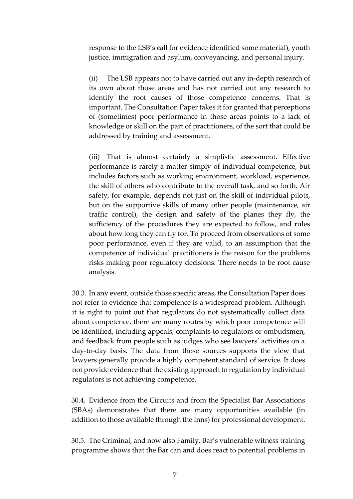response to the LSB's call for evidence identified some material), youth justice, immigration and asylum, conveyancing, and personal injury.

(ii) The LSB appears not to have carried out any in-depth research of its own about those areas and has not carried out any research to identify the root causes of those competence concerns. That is important. The Consultation Paper takes it for granted that perceptions of (sometimes) poor performance in those areas points to a lack of knowledge or skill on the part of practitioners, of the sort that could be addressed by training and assessment.

(iii) That is almost certainly a simplistic assessment. Effective performance is rarely a matter simply of individual competence, but includes factors such as working environment, workload, experience, the skill of others who contribute to the overall task, and so forth. Air safety, for example, depends not just on the skill of individual pilots, but on the supportive skills of many other people (maintenance, air traffic control), the design and safety of the planes they fly, the sufficiency of the procedures they are expected to follow, and rules about how long they can fly for. To proceed from observations of some poor performance, even if they are valid, to an assumption that the competence of individual practitioners is the reason for the problems risks making poor regulatory decisions. There needs to be root cause analysis.

30.3. In any event, outside those specific areas, the Consultation Paper does not refer to evidence that competence is a widespread problem. Although it is right to point out that regulators do not systematically collect data about competence, there are many routes by which poor competence will be identified, including appeals, complaints to regulators or ombudsmen, and feedback from people such as judges who see lawyers' activities on a day-to-day basis. The data from those sources supports the view that lawyers generally provide a highly competent standard of service. It does not provide evidence that the existing approach to regulation by individual regulators is not achieving competence.

30.4. Evidence from the Circuits and from the Specialist Bar Associations (SBAs) demonstrates that there are many opportunities available (in addition to those available through the Inns) for professional development.

30.5. The Criminal, and now also Family, Bar's vulnerable witness training programme shows that the Bar can and does react to potential problems in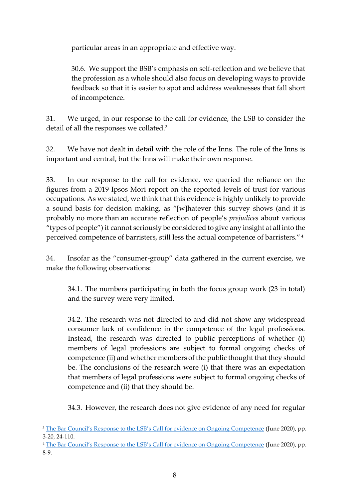particular areas in an appropriate and effective way.

30.6. We support the BSB's emphasis on self-reflection and we believe that the profession as a whole should also focus on developing ways to provide feedback so that it is easier to spot and address weaknesses that fall short of incompetence.

31. We urged, in our response to the call for evidence, the LSB to consider the detail of all the responses we collated.<sup>3</sup>

32. We have not dealt in detail with the role of the Inns. The role of the Inns is important and central, but the Inns will make their own response.

33. In our response to the call for evidence, we queried the reliance on the figures from a 2019 Ipsos Mori report on the reported levels of trust for various occupations. As we stated, we think that this evidence is highly unlikely to provide a sound basis for decision making, as "[w]hatever this survey shows (and it is probably no more than an accurate reflection of people's *prejudices* about various "types of people") it cannot seriously be considered to give any insight at all into the perceived competence of barristers, still less the actual competence of barristers." 4

34. Insofar as the "consumer-group" data gathered in the current exercise, we make the following observations:

34.1. The numbers participating in both the focus group work (23 in total) and the survey were very limited.

34.2. The research was not directed to and did not show any widespread consumer lack of confidence in the competence of the legal professions. Instead, the research was directed to public perceptions of whether (i) members of legal professions are subject to formal ongoing checks of competence (ii) and whether members of the public thought that they should be. The conclusions of the research were (i) that there was an expectation that members of legal professions were subject to formal ongoing checks of competence and (ii) that they should be.

34.3. However, the research does not give evidence of any need for regular

<sup>4</sup> [The Bar Council's Response to the LSB's Call for evidence on Ongoing Competence](https://www.barcouncil.org.uk/uploads/assets/cc4d10c9-34d4-4970-886780b85d900364/LSB-Ongoing-Competence-consultation-response.pdf) (June 2020), pp. 8-9.

<sup>&</sup>lt;sup>3</sup> [The Bar Council's Response to the LSB's Call for evidence on Ongoing Competence](https://www.barcouncil.org.uk/uploads/assets/cc4d10c9-34d4-4970-886780b85d900364/LSB-Ongoing-Competence-consultation-response.pdf) (June 2020), pp. 3-20, 24-110.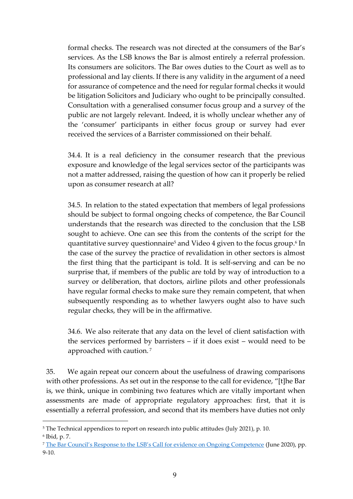formal checks. The research was not directed at the consumers of the Bar's services. As the LSB knows the Bar is almost entirely a referral profession. Its consumers are solicitors. The Bar owes duties to the Court as well as to professional and lay clients. If there is any validity in the argument of a need for assurance of competence and the need for regular formal checks it would be litigation Solicitors and Judiciary who ought to be principally consulted. Consultation with a generalised consumer focus group and a survey of the public are not largely relevant. Indeed, it is wholly unclear whether any of the 'consumer' participants in either focus group or survey had ever received the services of a Barrister commissioned on their behalf.

34.4. It is a real deficiency in the consumer research that the previous exposure and knowledge of the legal services sector of the participants was not a matter addressed, raising the question of how can it properly be relied upon as consumer research at all?

34.5. In relation to the stated expectation that members of legal professions should be subject to formal ongoing checks of competence, the Bar Council understands that the research was directed to the conclusion that the LSB sought to achieve. One can see this from the contents of the script for the quantitative survey questionnaire<sup>5</sup> and Video 4 given to the focus group.<sup>6</sup> In the case of the survey the practice of revalidation in other sectors is almost the first thing that the participant is told. It is self-serving and can be no surprise that, if members of the public are told by way of introduction to a survey or deliberation, that doctors, airline pilots and other professionals have regular formal checks to make sure they remain competent, that when subsequently responding as to whether lawyers ought also to have such regular checks, they will be in the affirmative.

34.6. We also reiterate that any data on the level of client satisfaction with the services performed by barristers – if it does exist – would need to be approached with caution. <sup>7</sup>

35. We again repeat our concern about the usefulness of drawing comparisons with other professions. As set out in the response to the call for evidence, "[t]he Bar is, we think, unique in combining two features which are vitally important when assessments are made of appropriate regulatory approaches: first, that it is essentially a referral profession, and second that its members have duties not only

<sup>5</sup> The Technical appendices to report on research into public attitudes (July 2021), p. 10.

<sup>6</sup> Ibid, p. 7.

<sup>7</sup> [The Bar Council's Response to the LSB's Call for evidence on Ongoing Competence](https://www.barcouncil.org.uk/uploads/assets/cc4d10c9-34d4-4970-886780b85d900364/LSB-Ongoing-Competence-consultation-response.pdf) (June 2020), pp. 9-10.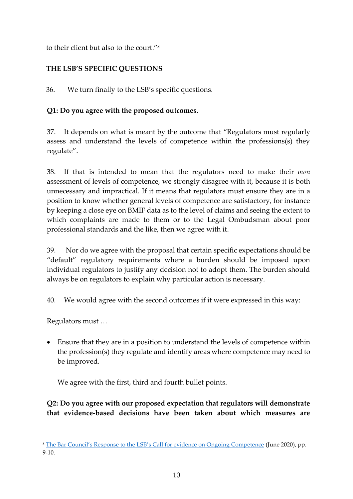to their client but also to the court." 8

# **THE LSB'S SPECIFIC QUESTIONS**

36. We turn finally to the LSB's specific questions.

## **Q1: Do you agree with the proposed outcomes.**

37. It depends on what is meant by the outcome that "Regulators must regularly assess and understand the levels of competence within the professions(s) they regulate".

38. If that is intended to mean that the regulators need to make their *own* assessment of levels of competence, we strongly disagree with it, because it is both unnecessary and impractical. If it means that regulators must ensure they are in a position to know whether general levels of competence are satisfactory, for instance by keeping a close eye on BMIF data as to the level of claims and seeing the extent to which complaints are made to them or to the Legal Ombudsman about poor professional standards and the like, then we agree with it.

39. Nor do we agree with the proposal that certain specific expectations should be "default" regulatory requirements where a burden should be imposed upon individual regulators to justify any decision not to adopt them. The burden should always be on regulators to explain why particular action is necessary.

40. We would agree with the second outcomes if it were expressed in this way:

Regulators must …

• Ensure that they are in a position to understand the levels of competence within the profession(s) they regulate and identify areas where competence may need to be improved.

We agree with the first, third and fourth bullet points.

**Q2: Do you agree with our proposed expectation that regulators will demonstrate that evidence-based decisions have been taken about which measures are** 

<sup>8</sup> [The Bar Council's Response to the LSB's Call for evidence on Ongoing Competence](https://www.barcouncil.org.uk/uploads/assets/cc4d10c9-34d4-4970-886780b85d900364/LSB-Ongoing-Competence-consultation-response.pdf) (June 2020), pp. 9-10.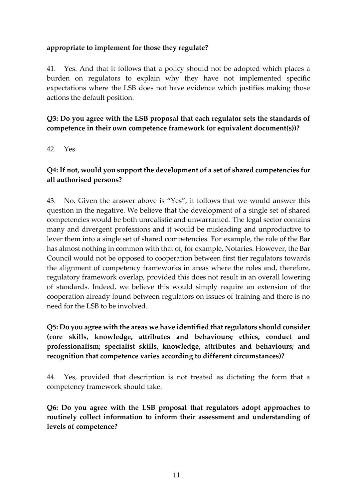#### **appropriate to implement for those they regulate?**

41. Yes. And that it follows that a policy should not be adopted which places a burden on regulators to explain why they have not implemented specific expectations where the LSB does not have evidence which justifies making those actions the default position.

#### **Q3: Do you agree with the LSB proposal that each regulator sets the standards of competence in their own competence framework (or equivalent document(s))?**

42. Yes.

## **Q4: If not, would you support the development of a set of shared competencies for all authorised persons?**

43. No. Given the answer above is "Yes", it follows that we would answer this question in the negative. We believe that the development of a single set of shared competencies would be both unrealistic and unwarranted. The legal sector contains many and divergent professions and it would be misleading and unproductive to lever them into a single set of shared competencies. For example, the role of the Bar has almost nothing in common with that of, for example, Notaries. However, the Bar Council would not be opposed to cooperation between first tier regulators towards the alignment of competency frameworks in areas where the roles and, therefore, regulatory framework overlap, provided this does not result in an overall lowering of standards. Indeed, we believe this would simply require an extension of the cooperation already found between regulators on issues of training and there is no need for the LSB to be involved.

**Q5: Do you agree with the areas we have identified that regulators should consider (core skills, knowledge, attributes and behaviours; ethics, conduct and professionalism; specialist skills, knowledge, attributes and behaviours; and recognition that competence varies according to different circumstances)?**

44. Yes, provided that description is not treated as dictating the form that a competency framework should take.

**Q6: Do you agree with the LSB proposal that regulators adopt approaches to routinely collect information to inform their assessment and understanding of levels of competence?**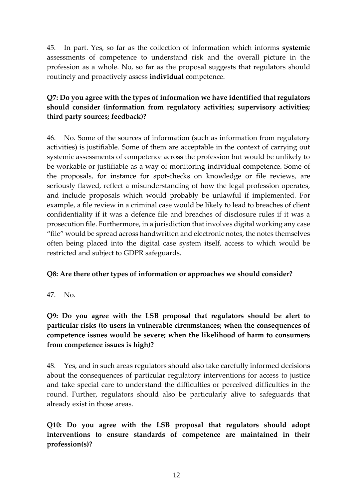45. In part. Yes, so far as the collection of information which informs **systemic** assessments of competence to understand risk and the overall picture in the profession as a whole. No, so far as the proposal suggests that regulators should routinely and proactively assess **individual** competence.

## **Q7: Do you agree with the types of information we have identified that regulators should consider (information from regulatory activities; supervisory activities; third party sources; feedback)?**

46. No. Some of the sources of information (such as information from regulatory activities) is justifiable. Some of them are acceptable in the context of carrying out systemic assessments of competence across the profession but would be unlikely to be workable or justifiable as a way of monitoring individual competence. Some of the proposals, for instance for spot-checks on knowledge or file reviews, are seriously flawed, reflect a misunderstanding of how the legal profession operates, and include proposals which would probably be unlawful if implemented. For example, a file review in a criminal case would be likely to lead to breaches of client confidentiality if it was a defence file and breaches of disclosure rules if it was a prosecution file. Furthermore, in a jurisdiction that involves digital working any case "file" would be spread across handwritten and electronic notes, the notes themselves often being placed into the digital case system itself, access to which would be restricted and subject to GDPR safeguards.

#### **Q8: Are there other types of information or approaches we should consider?**

47. No.

## **Q9: Do you agree with the LSB proposal that regulators should be alert to particular risks (to users in vulnerable circumstances; when the consequences of competence issues would be severe; when the likelihood of harm to consumers from competence issues is high)?**

48. Yes, and in such areas regulators should also take carefully informed decisions about the consequences of particular regulatory interventions for access to justice and take special care to understand the difficulties or perceived difficulties in the round. Further, regulators should also be particularly alive to safeguards that already exist in those areas.

**Q10: Do you agree with the LSB proposal that regulators should adopt interventions to ensure standards of competence are maintained in their profession(s)?**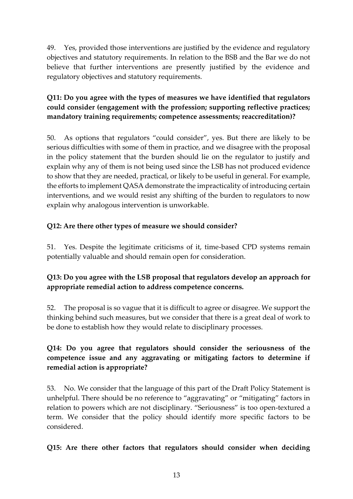49. Yes, provided those interventions are justified by the evidence and regulatory objectives and statutory requirements. In relation to the BSB and the Bar we do not believe that further interventions are presently justified by the evidence and regulatory objectives and statutory requirements.

## **Q11: Do you agree with the types of measures we have identified that regulators could consider (engagement with the profession; supporting reflective practices; mandatory training requirements; competence assessments; reaccreditation)?**

50. As options that regulators "could consider", yes. But there are likely to be serious difficulties with some of them in practice, and we disagree with the proposal in the policy statement that the burden should lie on the regulator to justify and explain why any of them is not being used since the LSB has not produced evidence to show that they are needed, practical, or likely to be useful in general. For example, the efforts to implement QASA demonstrate the impracticality of introducing certain interventions, and we would resist any shifting of the burden to regulators to now explain why analogous intervention is unworkable.

## **Q12: Are there other types of measure we should consider?**

51. Yes. Despite the legitimate criticisms of it, time-based CPD systems remain potentially valuable and should remain open for consideration.

## **Q13: Do you agree with the LSB proposal that regulators develop an approach for appropriate remedial action to address competence concerns.**

52. The proposal is so vague that it is difficult to agree or disagree. We support the thinking behind such measures, but we consider that there is a great deal of work to be done to establish how they would relate to disciplinary processes.

## **Q14: Do you agree that regulators should consider the seriousness of the competence issue and any aggravating or mitigating factors to determine if remedial action is appropriate?**

53. No. We consider that the language of this part of the Draft Policy Statement is unhelpful. There should be no reference to "aggravating" or "mitigating" factors in relation to powers which are not disciplinary. "Seriousness" is too open-textured a term. We consider that the policy should identify more specific factors to be considered.

#### **Q15: Are there other factors that regulators should consider when deciding**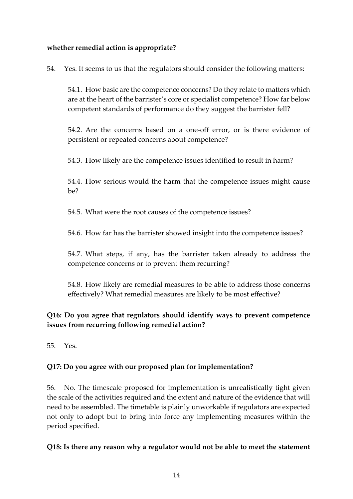#### **whether remedial action is appropriate?**

54. Yes. It seems to us that the regulators should consider the following matters:

54.1. How basic are the competence concerns? Do they relate to matters which are at the heart of the barrister's core or specialist competence? How far below competent standards of performance do they suggest the barrister fell?

54.2. Are the concerns based on a one-off error, or is there evidence of persistent or repeated concerns about competence?

54.3. How likely are the competence issues identified to result in harm?

54.4. How serious would the harm that the competence issues might cause be?

54.5. What were the root causes of the competence issues?

54.6. How far has the barrister showed insight into the competence issues?

54.7. What steps, if any, has the barrister taken already to address the competence concerns or to prevent them recurring?

54.8. How likely are remedial measures to be able to address those concerns effectively? What remedial measures are likely to be most effective?

## **Q16: Do you agree that regulators should identify ways to prevent competence issues from recurring following remedial action?**

55. Yes.

## **Q17: Do you agree with our proposed plan for implementation?**

56. No. The timescale proposed for implementation is unrealistically tight given the scale of the activities required and the extent and nature of the evidence that will need to be assembled. The timetable is plainly unworkable if regulators are expected not only to adopt but to bring into force any implementing measures within the period specified.

**Q18: Is there any reason why a regulator would not be able to meet the statement**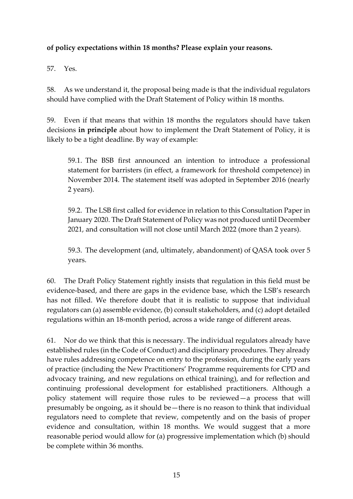#### **of policy expectations within 18 months? Please explain your reasons.**

57. Yes.

58. As we understand it, the proposal being made is that the individual regulators should have complied with the Draft Statement of Policy within 18 months.

59. Even if that means that within 18 months the regulators should have taken decisions **in principle** about how to implement the Draft Statement of Policy, it is likely to be a tight deadline. By way of example:

59.1. The BSB first announced an intention to introduce a professional statement for barristers (in effect, a framework for threshold competence) in November 2014. The statement itself was adopted in September 2016 (nearly 2 years).

59.2. The LSB first called for evidence in relation to this Consultation Paper in January 2020. The Draft Statement of Policy was not produced until December 2021, and consultation will not close until March 2022 (more than 2 years).

59.3. The development (and, ultimately, abandonment) of QASA took over 5 years.

60. The Draft Policy Statement rightly insists that regulation in this field must be evidence-based, and there are gaps in the evidence base, which the LSB's research has not filled. We therefore doubt that it is realistic to suppose that individual regulators can (a) assemble evidence, (b) consult stakeholders, and (c) adopt detailed regulations within an 18-month period, across a wide range of different areas.

61. Nor do we think that this is necessary. The individual regulators already have established rules (in the Code of Conduct) and disciplinary procedures. They already have rules addressing competence on entry to the profession, during the early years of practice (including the New Practitioners' Programme requirements for CPD and advocacy training, and new regulations on ethical training), and for reflection and continuing professional development for established practitioners. Although a policy statement will require those rules to be reviewed—a process that will presumably be ongoing, as it should be—there is no reason to think that individual regulators need to complete that review, competently and on the basis of proper evidence and consultation, within 18 months. We would suggest that a more reasonable period would allow for (a) progressive implementation which (b) should be complete within 36 months.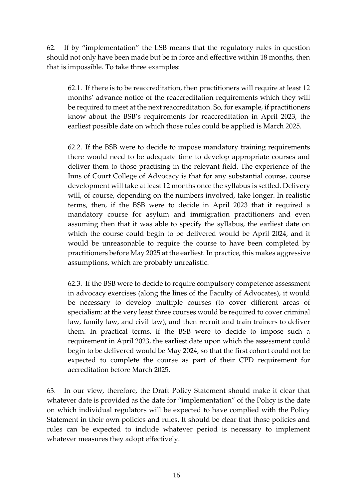62. If by "implementation" the LSB means that the regulatory rules in question should not only have been made but be in force and effective within 18 months, then that is impossible. To take three examples:

62.1. If there is to be reaccreditation, then practitioners will require at least 12 months' advance notice of the reaccreditation requirements which they will be required to meet at the next reaccreditation. So, for example, if practitioners know about the BSB's requirements for reaccreditation in April 2023, the earliest possible date on which those rules could be applied is March 2025.

62.2. If the BSB were to decide to impose mandatory training requirements there would need to be adequate time to develop appropriate courses and deliver them to those practising in the relevant field. The experience of the Inns of Court College of Advocacy is that for any substantial course, course development will take at least 12 months once the syllabus is settled. Delivery will, of course, depending on the numbers involved, take longer. In realistic terms, then, if the BSB were to decide in April 2023 that it required a mandatory course for asylum and immigration practitioners and even assuming then that it was able to specify the syllabus, the earliest date on which the course could begin to be delivered would be April 2024, and it would be unreasonable to require the course to have been completed by practitioners before May 2025 at the earliest. In practice, this makes aggressive assumptions, which are probably unrealistic.

62.3. If the BSB were to decide to require compulsory competence assessment in advocacy exercises (along the lines of the Faculty of Advocates), it would be necessary to develop multiple courses (to cover different areas of specialism: at the very least three courses would be required to cover criminal law, family law, and civil law), and then recruit and train trainers to deliver them. In practical terms, if the BSB were to decide to impose such a requirement in April 2023, the earliest date upon which the assessment could begin to be delivered would be May 2024, so that the first cohort could not be expected to complete the course as part of their CPD requirement for accreditation before March 2025.

63. In our view, therefore, the Draft Policy Statement should make it clear that whatever date is provided as the date for "implementation" of the Policy is the date on which individual regulators will be expected to have complied with the Policy Statement in their own policies and rules. It should be clear that those policies and rules can be expected to include whatever period is necessary to implement whatever measures they adopt effectively.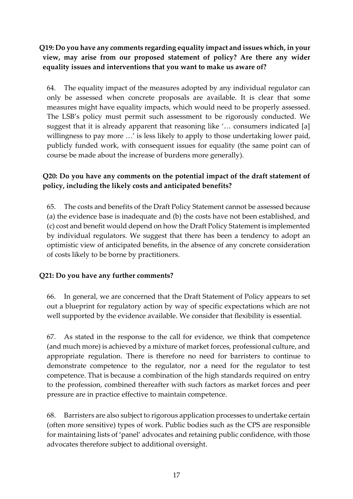## **Q19: Do you have any comments regarding equality impact and issues which, in your view, may arise from our proposed statement of policy? Are there any wider equality issues and interventions that you want to make us aware of?**

64. The equality impact of the measures adopted by any individual regulator can only be assessed when concrete proposals are available. It is clear that some measures might have equality impacts, which would need to be properly assessed. The LSB's policy must permit such assessment to be rigorously conducted. We suggest that it is already apparent that reasoning like '… consumers indicated [a] willingness to pay more …' is less likely to apply to those undertaking lower paid, publicly funded work, with consequent issues for equality (the same point can of course be made about the increase of burdens more generally).

#### **Q20: Do you have any comments on the potential impact of the draft statement of policy, including the likely costs and anticipated benefits?**

65. The costs and benefits of the Draft Policy Statement cannot be assessed because (a) the evidence base is inadequate and (b) the costs have not been established, and (c) cost and benefit would depend on how the Draft Policy Statement is implemented by individual regulators. We suggest that there has been a tendency to adopt an optimistic view of anticipated benefits, in the absence of any concrete consideration of costs likely to be borne by practitioners.

#### **Q21: Do you have any further comments?**

66. In general, we are concerned that the Draft Statement of Policy appears to set out a blueprint for regulatory action by way of specific expectations which are not well supported by the evidence available. We consider that flexibility is essential.

67. As stated in the response to the call for evidence, we think that competence (and much more) is achieved by a mixture of market forces, professional culture, and appropriate regulation. There is therefore no need for barristers to continue to demonstrate competence to the regulator, nor a need for the regulator to test competence. That is because a combination of the high standards required on entry to the profession, combined thereafter with such factors as market forces and peer pressure are in practice effective to maintain competence.

68. Barristers are also subject to rigorous application processes to undertake certain (often more sensitive) types of work. Public bodies such as the CPS are responsible for maintaining lists of 'panel' advocates and retaining public confidence, with those advocates therefore subject to additional oversight.